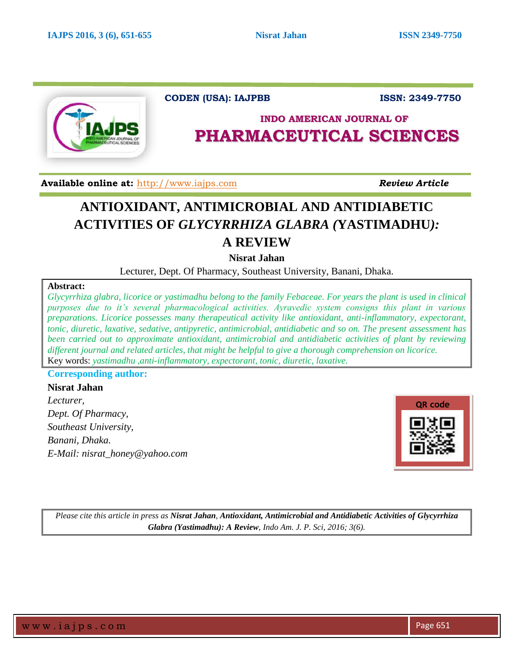

**CODEN (USA): IAJPBB** ISSN: 2349-7750

# **INDO AMERICAN JOURNAL OF PHARMACEUTICAL SCIENCES**

 **Available online at:** [http://www.iajps.com](http://www.iajps.com/) *Review Article*

l

# **ANTIOXIDANT, ANTIMICROBIAL AND ANTIDIABETIC ACTIVITIES OF** *GLYCYRRHIZA GLABRA (***YASTIMADHU***):*  **A REVIEW**

**Nisrat Jahan**

Lecturer, Dept. Of Pharmacy, Southeast University, Banani, Dhaka.

### **Abstract:**

*Glycyrrhiza glabra, licorice or yastimadhu belong to the family Febaceae. For years the plant is used in clinical purposes due to it's several pharmacological activities. Ayravedic system consigns this plant in various preparations. Licorice possesses many therapeutical activity like antioxidant, anti-inflammatory, expectorant, tonic, diuretic, laxative, sedative, antipyretic, antimicrobial, antidiabetic and so on. The present assessment has been carried out to approximate antioxidant, antimicrobial and antidiabetic activities of plant by reviewing different journal and related articles, that might be helpful to give a thorough comprehension on licorice.* Key words: *yastimadhu ,anti-inflammatory, expectorant, tonic, diuretic, laxative.*

# **Corresponding author:**

**Nisrat Jahan** *Lecturer, Dept. Of Pharmacy, Southeast University, Banani, Dhaka. E-Mail: nisrat\_honey@yahoo.com*



*Please cite this article in press as Nisrat Jahan, Antioxidant, Antimicrobial and Antidiabetic Activities of Glycyrrhiza Glabra (Yastimadhu): A Review, Indo Am. J. P. Sci, 2016; 3(6).*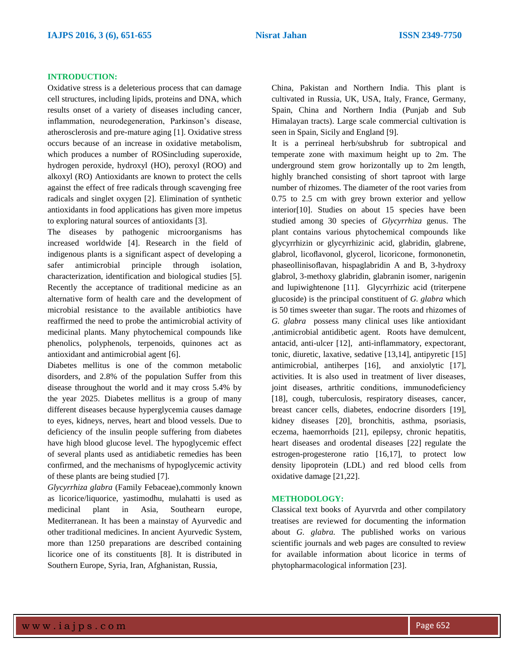#### **INTRODUCTION:**

Oxidative stress is a deleterious process that can damage cell structures, including lipids, proteins and DNA, which results onset of a variety of diseases including cancer, inflammation, neurodegeneration, Parkinson's disease, atherosclerosis and pre-mature aging [1]. Oxidative stress occurs because of an increase in oxidative metabolism, which produces a number of ROSincluding superoxide, hydrogen peroxide, hydroxyl (HO), peroxyl (ROO) and alkoxyl (RO) Antioxidants are known to protect the cells against the effect of free radicals through scavenging free radicals and singlet oxygen [2]. Elimination of synthetic antioxidants in food applications has given more impetus to exploring natural sources of antioxidants [3].

The diseases by pathogenic microorganisms has increased worldwide [4]. Research in the field of indigenous plants is a significant aspect of developing a safer antimicrobial principle through isolation, characterization, identification and biological studies [5]. Recently the acceptance of traditional medicine as an alternative form of health care and the development of microbial resistance to the available antibiotics have reaffirmed the need to probe the antimicrobial activity of medicinal plants. Many phytochemical compounds like phenolics, polyphenols, terpenoids, quinones act as antioxidant and antimicrobial agent [6].

Diabetes mellitus is one of the common metabolic disorders, and 2.8% of the population Suffer from this disease throughout the world and it may cross 5.4% by the year 2025. Diabetes mellitus is a group of many different diseases because hyperglycemia causes damage to eyes, kidneys, nerves, heart and blood vessels. Due to deficiency of the insulin people suffering from diabetes have high blood glucose level. The hypoglycemic effect of several plants used as antidiabetic remedies has been confirmed, and the mechanisms of hypoglycemic activity of these plants are being studied [7].

*Glycyrrhiza glabra* (Family Febaceae),commonly known as licorice/liquorice, yastimodhu, mulahatti is used as medicinal plant in Asia, Southearn europe, Mediterranean. It has been a mainstay of Ayurvedic and other traditional medicines. In ancient Ayurvedic System, more than 1250 preparations are described containing licorice one of its constituents [8]. It is distributed in Southern Europe, Syria, Iran, Afghanistan, Russia,

China, Pakistan and Northern India. This plant is cultivated in Russia, UK, USA, Italy, France, Germany, Spain, China and Northern India (Punjab and Sub Himalayan tracts). Large scale commercial cultivation is seen in Spain, Sicily and England [9].

It is a perrineal herb/subshrub for subtropical and temperate zone with maximum height up to 2m. The underground stem grow horizontally up to 2m length, highly branched consisting of short taproot with large number of rhizomes. The diameter of the root varies from 0.75 to 2.5 cm with grey brown exterior and yellow interior[10]. Studies on about 15 species have been studied among 30 species of *Glycyrrhiza* genus. The plant contains various phytochemical compounds like glycyrrhizin or glycyrrhizinic acid, glabridin, glabrene, glabrol, licoflavonol, glycerol, licoricone, formononetin, phaseollinisoflavan, hispaglabridin A and B, 3-hydroxy glabrol, 3-methoxy glabridin, glabranin isomer, narigenin and lupiwightenone [11]. Glycyrrhizic acid (triterpene glucoside) is the principal constituent of *G. glabra* which is 50 times sweeter than sugar. The roots and rhizomes of *G. glabra* possess many clinical uses like antioxidant ,antimicrobial antidibetic agent. Roots have demulcent, antacid, anti-ulcer [12], anti-inflammatory, expectorant, tonic, diuretic, laxative, sedative [13,14], antipyretic [15] antimicrobial, antiherpes [16], and anxiolytic [17], activities. It is also used in treatment of liver diseases, joint diseases, arthritic conditions, immunodeficiency [18], cough, tuberculosis, respiratory diseases, cancer, breast cancer cells, diabetes, endocrine disorders [19], kidney diseases [20], bronchitis, asthma, psoriasis, eczema, haemorrhoids [21], epilepsy, chronic hepatitis, heart diseases and orodental diseases [22] regulate the estrogen-progesterone ratio [16,17], to protect low density lipoprotein (LDL) and red blood cells from oxidative damage [21,22].

#### **METHODOLOGY:**

Classical text books of Ayurvrda and other compilatory treatises are reviewed for documenting the information about *G. glabra.* The published works on various scientific journals and web pages are consulted to review for available information about licorice in terms of phytopharmacological information [23].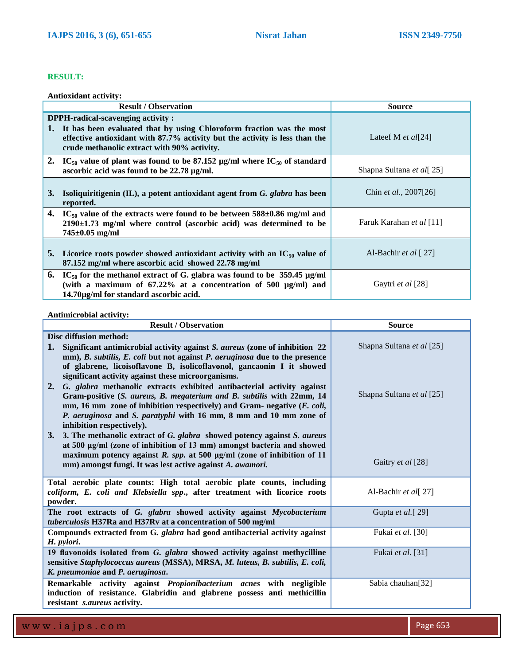## **RESULT:**

**Antioxidant activity:**

| <b>Result / Observation</b> |                                                                                                                                                                                                                                         | <b>Source</b>                      |
|-----------------------------|-----------------------------------------------------------------------------------------------------------------------------------------------------------------------------------------------------------------------------------------|------------------------------------|
| 1.                          | DPPH-radical-scavenging activity:<br>It has been evaluated that by using Chloroform fraction was the most<br>effective antioxidant with 87.7% activity but the activity is less than the<br>crude methanolic extract with 90% activity. | Lateef M <i>et al</i> [24]         |
|                             | 2. IC <sub>50</sub> value of plant was found to be 87.152 $\mu$ g/ml where IC <sub>50</sub> of standard<br>ascorbic acid was found to be 22.78 µg/ml.                                                                                   | Shapna Sultana et al[25]           |
| 3.                          | Isoliquiritigenin (IL), a potent antioxidant agent from G. glabra has been<br>reported.                                                                                                                                                 | Chin <i>et al.</i> , $2007[26]$    |
|                             | 4. IC <sub>50</sub> value of the extracts were found to be between $588\pm0.86$ mg/ml and<br>$2190 \pm 1.73$ mg/ml where control (ascorbic acid) was determined to be<br>$745 \pm 0.05$ mg/ml                                           | Faruk Karahan et al [11]           |
|                             | 5. Licorice roots powder showed antioxidant activity with an $IC_{50}$ value of<br>87.152 mg/ml where ascorbic acid showed 22.78 mg/ml                                                                                                  | Al-Bachir et al $\lceil 27 \rceil$ |
|                             | 6. IC <sub>50</sub> for the methanol extract of G. glabra was found to be 359.45 $\mu$ g/ml<br>(with a maximum of $67.22\%$ at a concentration of 500 $\mu$ g/ml) and<br>14.70μg/ml for standard ascorbic acid.                         | Gaytri et al [28]                  |

**Antimicrobial activity:**

| <b>Result / Observation</b>                                                                                                                                                                                                                                                                                                                                                                                      | <b>Source</b>             |
|------------------------------------------------------------------------------------------------------------------------------------------------------------------------------------------------------------------------------------------------------------------------------------------------------------------------------------------------------------------------------------------------------------------|---------------------------|
| Disc diffusion method:<br>1.<br>Significant antimicrobial activity against S. aureus (zone of inhibition 22)                                                                                                                                                                                                                                                                                                     | Shapna Sultana et al [25] |
| mm), B. subtilis, E. coli but not against P. aeruginosa due to the presence<br>of glabrene, licoisoflavone B, isolicoflavonol, gancaonin I it showed<br>significant activity against these microorganisms.                                                                                                                                                                                                       |                           |
| G. glabra methanolic extracts exhibited antibacterial activity against<br>2.<br>Gram-positive (S. aureus, B. megaterium and B. subtilis with 22mm, 14<br>mm, 16 mm zone of inhibition respectively) and Gram- negative (E. coli,<br>P. aeruginosa and S. paratyphi with 16 mm, 8 mm and 10 mm zone of<br>inhibition respectively).<br>3. 3. The methanolic extract of G. glabra showed potency against S. aureus | Shapna Sultana et al [25] |
| at 500 µg/ml (zone of inhibition of 13 mm) amongst bacteria and showed<br>maximum potency against $R$ . spp. at 500 $\mu$ g/ml (zone of inhibition of 11<br>mm) amongst fungi. It was lest active against A. awamori.                                                                                                                                                                                            | Gaitry et al [28]         |
| Total aerobic plate counts: High total aerobic plate counts, including<br>coliform, E. coli and Klebsiella spp., after treatment with licorice roots<br>powder.                                                                                                                                                                                                                                                  | Al-Bachir et al[27]       |
| The root extracts of G. glabra showed activity against Mycobacterium<br>tuberculosis H37Ra and H37Rv at a concentration of 500 mg/ml                                                                                                                                                                                                                                                                             | Gupta et al. [29]         |
| Compounds extracted from G. glabra had good antibacterial activity against<br>H. pylori.                                                                                                                                                                                                                                                                                                                         | Fukai et al. [30]         |
| 19 flavonoids isolated from G. glabra showed activity against methycilline<br>sensitive Staphylococcus aureus (MSSA), MRSA, M. luteus, B. subtilis, E. coli,<br>K. pneumoniae and P. aeruginosa.                                                                                                                                                                                                                 | Fukai et al. [31]         |
| Remarkable activity against Propionibacterium acnes with negligible<br>induction of resistance. Glabridin and glabrene possess anti methicillin<br>resistant s.aureus activity.                                                                                                                                                                                                                                  | Sabia chauhan[32]         |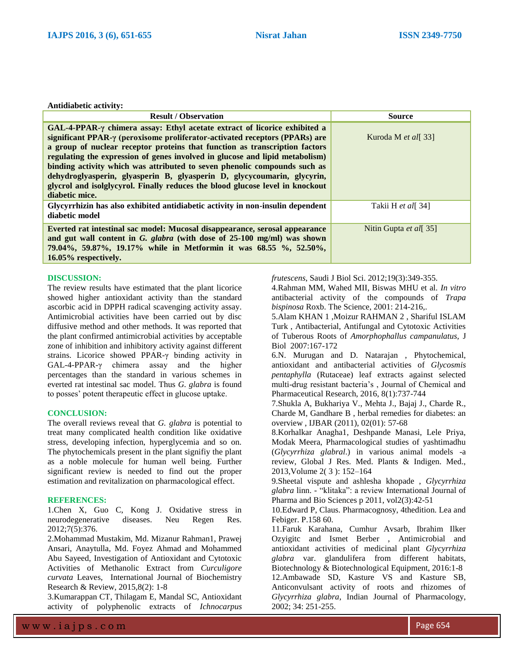**Antidiabetic activity:**

| <b>Result / Observation</b>                                                                                                                                                                                                                                                                                                                                                                                                                                                                                                                                                               | <b>Source</b>                 |
|-------------------------------------------------------------------------------------------------------------------------------------------------------------------------------------------------------------------------------------------------------------------------------------------------------------------------------------------------------------------------------------------------------------------------------------------------------------------------------------------------------------------------------------------------------------------------------------------|-------------------------------|
| $GAL-4-PPAR-\gamma chimera assay: Ethyl acetate extract of licorice exhibited a$<br>significant PPAR-y (peroxisome proliferator-activated receptors (PPARs) are<br>a group of nuclear receptor proteins that function as transcription factors<br>regulating the expression of genes involved in glucose and lipid metabolism)<br>binding activity which was attributed to seven phenolic compounds such as<br>dehydroglyasperin, glyasperin B, glyasperin D, glycycoumarin, glycyrin,<br>glycrol and isolglycyrol. Finally reduces the blood glucose level in knockout<br>diabetic mice. | Kuroda M <i>et al</i> [33]    |
| Glycyrrhizin has also exhibited antidiabetic activity in non-insulin dependent<br>diabetic model                                                                                                                                                                                                                                                                                                                                                                                                                                                                                          | Takii H et all 34]            |
| Everted rat intestinal sac model: Mucosal disappearance, serosal appearance<br>and gut wall content in G. glabra (with dose of 25-100 mg/ml) was shown<br>79.04%, 59.87%, 19.17% while in Metformin it was 68.55 %, 52.50%,<br>16.05% respectively.                                                                                                                                                                                                                                                                                                                                       | Nitin Gupta <i>et all</i> 35] |

#### **DISCUSSION:**

The review results have estimated that the plant licorice showed higher antioxidant activity than the standard ascorbic acid in DPPH radical scavenging activity assay. Antimicrobial activities have been carried out by disc diffusive method and other methods. It was reported that the plant confirmed antimicrobial activities by acceptable zone of inhibition and inhibitory activity against different strains. Licorice showed PPAR-γ binding activity in GAL-4-PPAR-γ chimera assay and the higher percentages than the standard in various schemes in everted rat intestinal sac model. Thus *G. glabra* is found to posses' potent therapeutic effect in glucose uptake.

#### **CONCLUSION:**

The overall reviews reveal that *G. glabra* is potential to treat many complicated health condition like oxidative stress, developing infection, hyperglycemia and so on. The phytochemicals present in the plant signifiy the plant as a noble molecule for human well being. Further significant review is needed to find out the proper estimation and revitalization on pharmacological effect.

### **REFERENCES:**

1.Chen X, Guo C, Kong J. Oxidative stress in neurodegenerative diseases. Neu Regen Res. 2012;7(5):376.

2.Mohammad Mustakim, Md. Mizanur Rahman1, Prawej Ansari, Anaytulla, Md. Foyez Ahmad and Mohammed Abu Sayeed, Investigation of Antioxidant and Cytotoxic Activities of Methanolic Extract from *Curculigore curvata* Leaves, International Journal of Biochemistry Research & Review, 2015,8(2): 1-8

3.Kumarappan CT, Thilagam E, Mandal SC, Antioxidant activity of polyphenolic extracts of *Ichnocarpus*  *frutescens*, Saudi J Biol Sci. 2012;19(3):349-355.

4.Rahman MM, Wahed MII, Biswas MHU et al. *In vitro* antibacterial activity of the compounds of *Trapa bispinosa* Roxb. The Science, 2001: 214-216,.

5.Alam KHAN 1 ,Moizur RAHMAN 2 , Shariful ISLAM Turk , Antibacterial, Antifungal and Cytotoxic Activities of Tuberous Roots of *Amorphophallus campanulatus,* J Biol 2007:167-172

6.N. Murugan and D. Natarajan , Phytochemical, antioxidant and antibacterial activities of *Glycosmis pentaphylla* (Rutaceae) leaf extracts against selected multi-drug resistant bacteria's , Journal of Chemical and Pharmaceutical Research, 2016, 8(1):737-744

7.Shukla A, Bukhariya V., Mehta J., Bajaj J., Charde R., Charde M, Gandhare B , herbal remedies for diabetes: an overview , IJBAR (2011), 02(01): 57-68

8.Korhalkar Anagha1, Deshpande Manasi, Lele Priya, Modak Meera, Pharmacological studies of yashtimadhu (*Glycyrrhiza glabral*.) in various animal models -a review, Global J Res. Med. Plants & Indigen. Med., 2013,Volume 2( 3 ): 152–164

9.Sheetal vispute and ashlesha khopade , *Glycyrrhiza glabra* linn. - "klitaka": a review International Journal of Pharma and Bio Sciences p 2011, vol2(3):42-51

10.Edward P, Claus. Pharmacognosy, 4thedition. Lea and Febiger. P.158 60.

11.Faruk Karahana, Cumhur Avsarb, Ibrahim Ilker Ozyigitc and Ismet Berber , Antimicrobial and antioxidant activities of medicinal plant *Glycyrrhiza glabra* var. glandulifera from different habitats, Biotechnology & Biotechnological Equipment, 2016:1-8 12.Ambawade SD, Kasture VS and Kasture SB, Anticonvulsant activity of roots and rhizomes of *Glycyrrhiza glabra*, Indian Journal of Pharmacology, 2002; 34: 251-255.